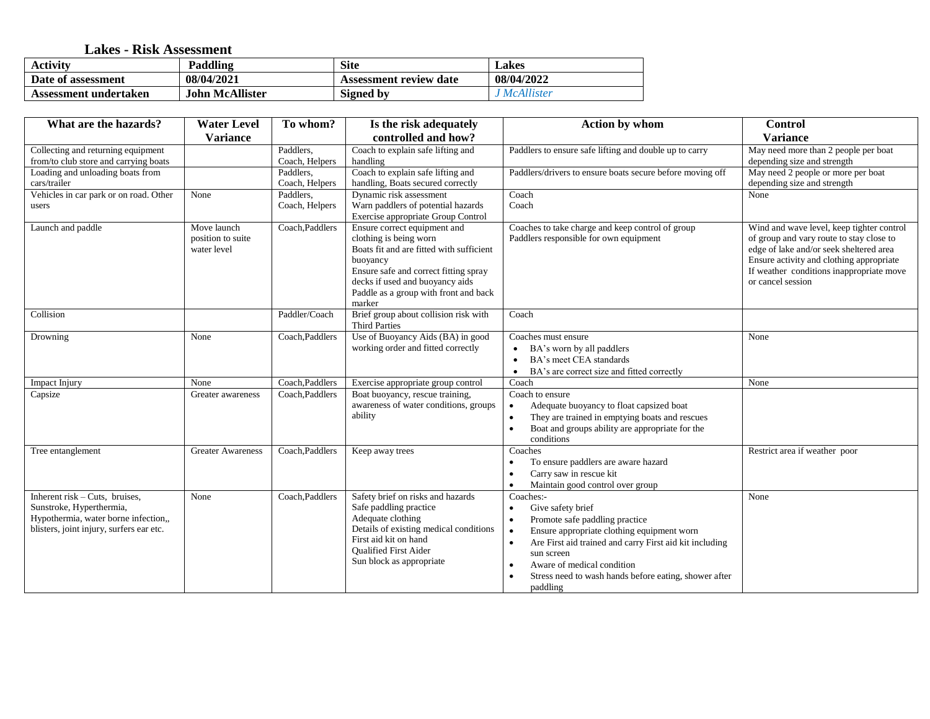## **Lakes - Risk Assessment**

| <b>Activity</b>       | Paddling               | <b>Site</b>            | Lakes        |
|-----------------------|------------------------|------------------------|--------------|
| Date of assessment    | 08/04/2021             | Assessment review date | 08/04/2022   |
| Assessment undertaken | <b>John McAllister</b> | <b>Signed by</b>       | . McAllister |

| What are the hazards?                                                                                                                            | <b>Water Level</b>                              | To whom?                    | Is the risk adequately                                                                                                                                                                                                                        | <b>Action by whom</b>                                                                                                                                                                                                                                                                                                | <b>Control</b>                                                                                                                                                                                                                                |
|--------------------------------------------------------------------------------------------------------------------------------------------------|-------------------------------------------------|-----------------------------|-----------------------------------------------------------------------------------------------------------------------------------------------------------------------------------------------------------------------------------------------|----------------------------------------------------------------------------------------------------------------------------------------------------------------------------------------------------------------------------------------------------------------------------------------------------------------------|-----------------------------------------------------------------------------------------------------------------------------------------------------------------------------------------------------------------------------------------------|
|                                                                                                                                                  | <b>Variance</b>                                 |                             | controlled and how?                                                                                                                                                                                                                           |                                                                                                                                                                                                                                                                                                                      | <b>Variance</b>                                                                                                                                                                                                                               |
| Collecting and returning equipment<br>from/to club store and carrying boats                                                                      |                                                 | Paddlers,<br>Coach, Helpers | Coach to explain safe lifting and<br>handling                                                                                                                                                                                                 | Paddlers to ensure safe lifting and double up to carry                                                                                                                                                                                                                                                               | May need more than 2 people per boat<br>depending size and strength                                                                                                                                                                           |
| Loading and unloading boats from<br>cars/trailer                                                                                                 |                                                 | Paddlers,<br>Coach, Helpers | Coach to explain safe lifting and<br>handling, Boats secured correctly                                                                                                                                                                        | Paddlers/drivers to ensure boats secure before moving off                                                                                                                                                                                                                                                            | May need 2 people or more per boat<br>depending size and strength                                                                                                                                                                             |
| Vehicles in car park or on road. Other<br>users                                                                                                  | None                                            | Paddlers,<br>Coach, Helpers | Dynamic risk assessment<br>Warn paddlers of potential hazards<br>Exercise appropriate Group Control                                                                                                                                           | Coach<br>Coach                                                                                                                                                                                                                                                                                                       | None                                                                                                                                                                                                                                          |
| Launch and paddle                                                                                                                                | Move launch<br>position to suite<br>water level | Coach, Paddlers             | Ensure correct equipment and<br>clothing is being worn<br>Boats fit and are fitted with sufficient<br>buoyancy<br>Ensure safe and correct fitting spray<br>decks if used and buoyancy aids<br>Paddle as a group with front and back<br>marker | Coaches to take charge and keep control of group<br>Paddlers responsible for own equipment                                                                                                                                                                                                                           | Wind and wave level, keep tighter control<br>of group and vary route to stay close to<br>edge of lake and/or seek sheltered area<br>Ensure activity and clothing appropriate<br>If weather conditions inappropriate move<br>or cancel session |
| Collision                                                                                                                                        |                                                 | Paddler/Coach               | Brief group about collision risk with<br><b>Third Parties</b>                                                                                                                                                                                 | Coach                                                                                                                                                                                                                                                                                                                |                                                                                                                                                                                                                                               |
| Drowning                                                                                                                                         | None                                            | Coach, Paddlers             | Use of Buoyancy Aids (BA) in good<br>working order and fitted correctly                                                                                                                                                                       | Coaches must ensure<br>BA's worn by all paddlers<br>BA's meet CEA standards<br>$\bullet$<br>BA's are correct size and fitted correctly                                                                                                                                                                               | None                                                                                                                                                                                                                                          |
| Impact Injury                                                                                                                                    | None                                            | Coach, Paddlers             | Exercise appropriate group control                                                                                                                                                                                                            | Coach                                                                                                                                                                                                                                                                                                                | None                                                                                                                                                                                                                                          |
| Capsize                                                                                                                                          | Greater awareness                               | Coach, Paddlers             | Boat buoyancy, rescue training,<br>awareness of water conditions, groups<br>ability                                                                                                                                                           | Coach to ensure<br>Adequate buoyancy to float capsized boat<br>$\bullet$<br>They are trained in emptying boats and rescues<br>$\bullet$<br>Boat and groups ability are appropriate for the<br>conditions                                                                                                             |                                                                                                                                                                                                                                               |
| Tree entanglement                                                                                                                                | <b>Greater Awareness</b>                        | Coach, Paddlers             | Keep away trees                                                                                                                                                                                                                               | Coaches<br>To ensure paddlers are aware hazard<br>Carry saw in rescue kit<br>$\bullet$<br>Maintain good control over group                                                                                                                                                                                           | Restrict area if weather poor                                                                                                                                                                                                                 |
| Inherent $risk$ – Cuts, bruises,<br>Sunstroke, Hyperthermia,<br>Hypothermia, water borne infection,,<br>blisters, joint injury, surfers ear etc. | None                                            | Coach, Paddlers             | Safety brief on risks and hazards<br>Safe paddling practice<br>Adequate clothing<br>Details of existing medical conditions<br>First aid kit on hand<br><b>Oualified First Aider</b><br>Sun block as appropriate                               | Coaches:-<br>Give safety brief<br>$\bullet$<br>Promote safe paddling practice<br>$\bullet$<br>Ensure appropriate clothing equipment worn<br>Are First aid trained and carry First aid kit including<br>sun screen<br>Aware of medical condition<br>Stress need to wash hands before eating, shower after<br>paddling | None                                                                                                                                                                                                                                          |